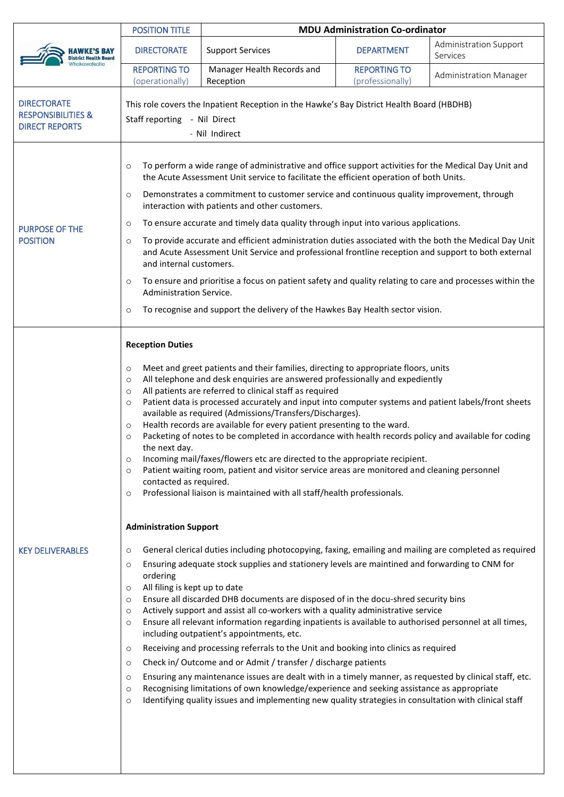|                                                                              | <b>POSITION TITLE</b>                                                                                                                                                                                                                                                                                                                                                                                                                                                                                                                                                                                                                                                                                                                                                                                                                                                                                                                                                                                                                                                                                                                                                                                                                                                                                                                                                                                                                                                                                                                                                                                                                                                                                               | <b>MDU Administration Co-ordinator</b>  |                                         |                                    |  |  |  |
|------------------------------------------------------------------------------|---------------------------------------------------------------------------------------------------------------------------------------------------------------------------------------------------------------------------------------------------------------------------------------------------------------------------------------------------------------------------------------------------------------------------------------------------------------------------------------------------------------------------------------------------------------------------------------------------------------------------------------------------------------------------------------------------------------------------------------------------------------------------------------------------------------------------------------------------------------------------------------------------------------------------------------------------------------------------------------------------------------------------------------------------------------------------------------------------------------------------------------------------------------------------------------------------------------------------------------------------------------------------------------------------------------------------------------------------------------------------------------------------------------------------------------------------------------------------------------------------------------------------------------------------------------------------------------------------------------------------------------------------------------------------------------------------------------------|-----------------------------------------|-----------------------------------------|------------------------------------|--|--|--|
| <b>District Health Board</b>                                                 | <b>DIRECTORATE</b>                                                                                                                                                                                                                                                                                                                                                                                                                                                                                                                                                                                                                                                                                                                                                                                                                                                                                                                                                                                                                                                                                                                                                                                                                                                                                                                                                                                                                                                                                                                                                                                                                                                                                                  | <b>Support Services</b>                 | <b>DEPARTMENT</b>                       | Administration Support<br>Services |  |  |  |
|                                                                              | <b>REPORTING TO</b><br>(operationally)                                                                                                                                                                                                                                                                                                                                                                                                                                                                                                                                                                                                                                                                                                                                                                                                                                                                                                                                                                                                                                                                                                                                                                                                                                                                                                                                                                                                                                                                                                                                                                                                                                                                              | Manager Health Records and<br>Reception | <b>REPORTING TO</b><br>(professionally) | Administration Manager             |  |  |  |
| <b>DIRECTORATE</b><br><b>RESPONSIBILITIES &amp;</b><br><b>DIRECT REPORTS</b> | This role covers the Inpatient Reception in the Hawke's Bay District Health Board (HBDHB)<br>Staff reporting - Nil Direct<br>- Nil Indirect                                                                                                                                                                                                                                                                                                                                                                                                                                                                                                                                                                                                                                                                                                                                                                                                                                                                                                                                                                                                                                                                                                                                                                                                                                                                                                                                                                                                                                                                                                                                                                         |                                         |                                         |                                    |  |  |  |
| <b>PURPOSE OF THE</b><br><b>POSITION</b>                                     | To perform a wide range of administrative and office support activities for the Medical Day Unit and<br>$\circ$<br>the Acute Assessment Unit service to facilitate the efficient operation of both Units.<br>Demonstrates a commitment to customer service and continuous quality improvement, through<br>$\circ$<br>interaction with patients and other customers.<br>To ensure accurate and timely data quality through input into various applications.<br>$\circ$<br>To provide accurate and efficient administration duties associated with the both the Medical Day Unit<br>$\circ$<br>and Acute Assessment Unit Service and professional frontline reception and support to both external<br>and internal customers.<br>To ensure and prioritise a focus on patient safety and quality relating to care and processes within the<br>$\circ$<br>Administration Service.<br>To recognise and support the delivery of the Hawkes Bay Health sector vision.<br>$\circ$                                                                                                                                                                                                                                                                                                                                                                                                                                                                                                                                                                                                                                                                                                                                           |                                         |                                         |                                    |  |  |  |
| <b>KEY DELIVERABLES</b>                                                      | <b>Reception Duties</b><br>Meet and greet patients and their families, directing to appropriate floors, units<br>$\circ$<br>All telephone and desk enquiries are answered professionally and expediently<br>$\circ$<br>All patients are referred to clinical staff as required<br>$\circ$<br>Patient data is processed accurately and input into computer systems and patient labels/front sheets<br>$\circ$<br>available as required (Admissions/Transfers/Discharges).<br>Health records are available for every patient presenting to the ward.<br>$\circ$<br>Packeting of notes to be completed in accordance with health records policy and available for coding<br>$\circ$<br>the next day.<br>Incoming mail/faxes/flowers etc are directed to the appropriate recipient.<br>$\circ$<br>Patient waiting room, patient and visitor service areas are monitored and cleaning personnel<br>$\circ$<br>contacted as required.<br>Professional liaison is maintained with all staff/health professionals.<br>$\circ$<br><b>Administration Support</b><br>General clerical duties including photocopying, faxing, emailing and mailing are completed as required<br>$\circ$<br>Ensuring adequate stock supplies and stationery levels are maintined and forwarding to CNM for<br>$\circ$<br>ordering<br>All filing is kept up to date<br>$\circ$<br>Ensure all discarded DHB documents are disposed of in the docu-shred security bins<br>$\circ$<br>Actively support and assist all co-workers with a quality administrative service<br>$\circ$<br>Ensure all relevant information regarding inpatients is available to authorised personnel at all times,<br>$\circ$<br>including outpatient's appointments, etc. |                                         |                                         |                                    |  |  |  |
|                                                                              | Receiving and processing referrals to the Unit and booking into clinics as required<br>$\circ$<br>Check in/Outcome and or Admit / transfer / discharge patients<br>$\circ$<br>Ensuring any maintenance issues are dealt with in a timely manner, as requested by clinical staff, etc.<br>$\circ$<br>Recognising limitations of own knowledge/experience and seeking assistance as appropriate<br>$\circ$<br>Identifying quality issues and implementing new quality strategies in consultation with clinical staff<br>$\circ$                                                                                                                                                                                                                                                                                                                                                                                                                                                                                                                                                                                                                                                                                                                                                                                                                                                                                                                                                                                                                                                                                                                                                                                       |                                         |                                         |                                    |  |  |  |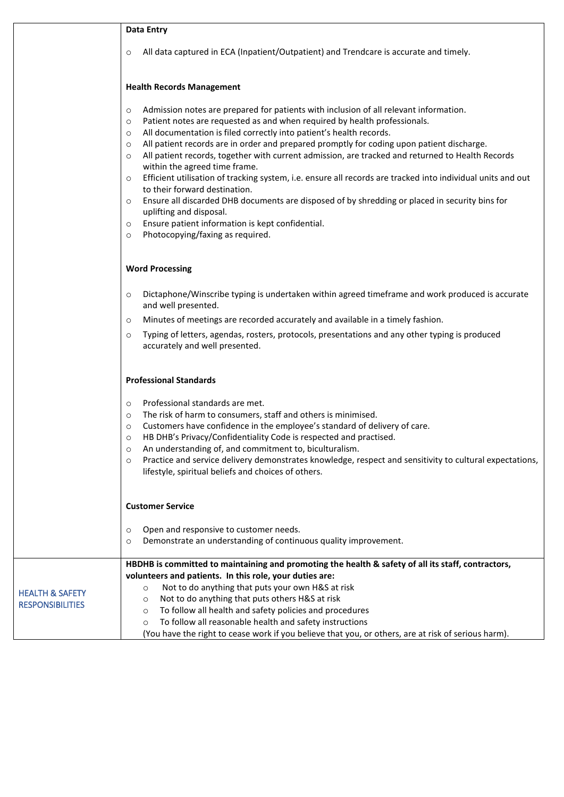|                                                       | <b>Data Entry</b>                                                                                                                                                                                                                                                                                                                                                                                                                                                                                                                                                                                                                                                                                                                                                                                                                                                                                                                                   |  |  |  |  |
|-------------------------------------------------------|-----------------------------------------------------------------------------------------------------------------------------------------------------------------------------------------------------------------------------------------------------------------------------------------------------------------------------------------------------------------------------------------------------------------------------------------------------------------------------------------------------------------------------------------------------------------------------------------------------------------------------------------------------------------------------------------------------------------------------------------------------------------------------------------------------------------------------------------------------------------------------------------------------------------------------------------------------|--|--|--|--|
|                                                       | All data captured in ECA (Inpatient/Outpatient) and Trendcare is accurate and timely.<br>$\circ$                                                                                                                                                                                                                                                                                                                                                                                                                                                                                                                                                                                                                                                                                                                                                                                                                                                    |  |  |  |  |
|                                                       | <b>Health Records Management</b>                                                                                                                                                                                                                                                                                                                                                                                                                                                                                                                                                                                                                                                                                                                                                                                                                                                                                                                    |  |  |  |  |
|                                                       | Admission notes are prepared for patients with inclusion of all relevant information.<br>$\circ$<br>Patient notes are requested as and when required by health professionals.<br>$\circ$<br>All documentation is filed correctly into patient's health records.<br>$\circ$<br>All patient records are in order and prepared promptly for coding upon patient discharge.<br>$\circ$<br>All patient records, together with current admission, are tracked and returned to Health Records<br>$\circ$<br>within the agreed time frame.<br>Efficient utilisation of tracking system, i.e. ensure all records are tracked into individual units and out<br>$\circ$<br>to their forward destination.<br>Ensure all discarded DHB documents are disposed of by shredding or placed in security bins for<br>$\circ$<br>uplifting and disposal.<br>Ensure patient information is kept confidential.<br>$\circ$<br>Photocopying/faxing as required.<br>$\circ$ |  |  |  |  |
|                                                       | <b>Word Processing</b>                                                                                                                                                                                                                                                                                                                                                                                                                                                                                                                                                                                                                                                                                                                                                                                                                                                                                                                              |  |  |  |  |
|                                                       | Dictaphone/Winscribe typing is undertaken within agreed timeframe and work produced is accurate<br>$\circ$<br>and well presented.<br>Minutes of meetings are recorded accurately and available in a timely fashion.<br>$\circ$<br>Typing of letters, agendas, rosters, protocols, presentations and any other typing is produced<br>$\circ$<br>accurately and well presented.                                                                                                                                                                                                                                                                                                                                                                                                                                                                                                                                                                       |  |  |  |  |
|                                                       | <b>Professional Standards</b>                                                                                                                                                                                                                                                                                                                                                                                                                                                                                                                                                                                                                                                                                                                                                                                                                                                                                                                       |  |  |  |  |
|                                                       | Professional standards are met.<br>$\circ$<br>The risk of harm to consumers, staff and others is minimised.<br>$\circ$<br>Customers have confidence in the employee's standard of delivery of care.<br>$\circ$<br>HB DHB's Privacy/Confidentiality Code is respected and practised.<br>$\circ$<br>An understanding of, and commitment to, biculturalism.<br>$\circ$<br>Practice and service delivery demonstrates knowledge, respect and sensitivity to cultural expectations,<br>$\circ$<br>lifestyle, spiritual beliefs and choices of others.                                                                                                                                                                                                                                                                                                                                                                                                    |  |  |  |  |
|                                                       | <b>Customer Service</b>                                                                                                                                                                                                                                                                                                                                                                                                                                                                                                                                                                                                                                                                                                                                                                                                                                                                                                                             |  |  |  |  |
|                                                       | Open and responsive to customer needs.<br>$\circ$<br>Demonstrate an understanding of continuous quality improvement.<br>$\circ$                                                                                                                                                                                                                                                                                                                                                                                                                                                                                                                                                                                                                                                                                                                                                                                                                     |  |  |  |  |
| <b>HEALTH &amp; SAFETY</b><br><b>RESPONSIBILITIES</b> | HBDHB is committed to maintaining and promoting the health & safety of all its staff, contractors,<br>volunteers and patients. In this role, your duties are:<br>Not to do anything that puts your own H&S at risk<br>$\circ$<br>Not to do anything that puts others H&S at risk<br>$\circ$<br>To follow all health and safety policies and procedures<br>$\circ$<br>To follow all reasonable health and safety instructions<br>$\circ$<br>(You have the right to cease work if you believe that you, or others, are at risk of serious harm).                                                                                                                                                                                                                                                                                                                                                                                                      |  |  |  |  |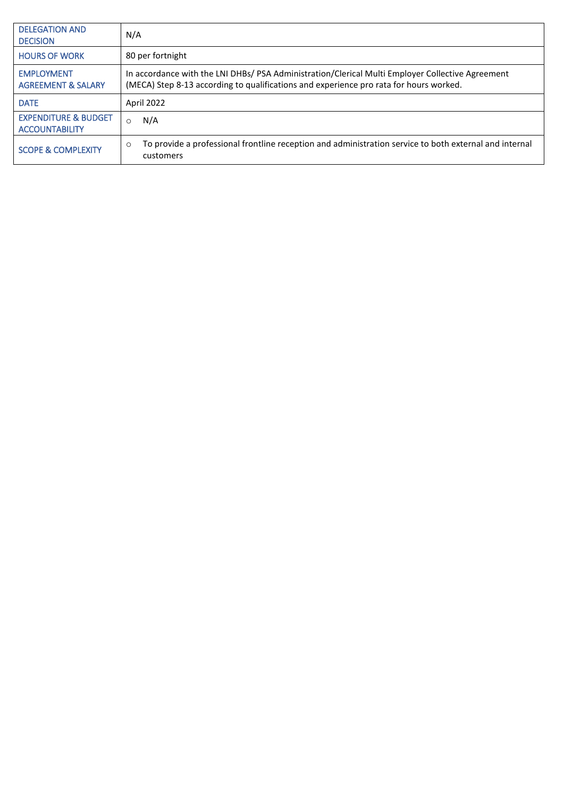| <b>DELEGATION AND</b><br><b>DECISION</b>                 | N/A                                                                                                                                                                                        |
|----------------------------------------------------------|--------------------------------------------------------------------------------------------------------------------------------------------------------------------------------------------|
| <b>HOURS OF WORK</b>                                     | 80 per fortnight                                                                                                                                                                           |
| <b>EMPLOYMENT</b><br><b>AGREEMENT &amp; SALARY</b>       | In accordance with the LNI DHBs/ PSA Administration/Clerical Multi Employer Collective Agreement<br>(MECA) Step 8-13 according to qualifications and experience pro rata for hours worked. |
| <b>DATE</b>                                              | April 2022                                                                                                                                                                                 |
| <b>EXPENDITURE &amp; BUDGET</b><br><b>ACCOUNTABILITY</b> | N/A<br>$\Omega$                                                                                                                                                                            |
| <b>SCOPE &amp; COMPLEXITY</b>                            | To provide a professional frontline reception and administration service to both external and internal<br>$\circ$<br>customers                                                             |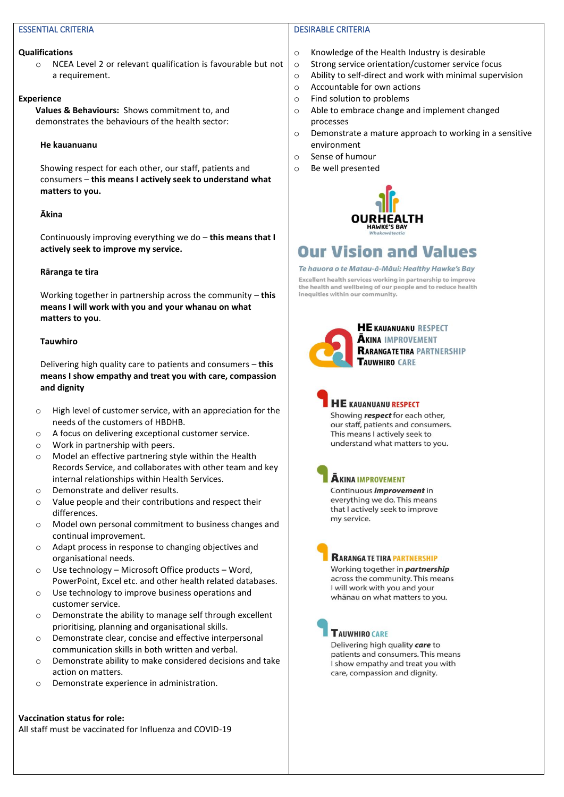# ESSENTIAL CRITERIA

#### **Qualifications**

o NCEA Level 2 or relevant qualification is favourable but not a requirement.

#### **Experience**

**Values & Behaviours:** Shows commitment to, and demonstrates the behaviours of the health sector:

### **He kauanuanu**

Showing respect for each other, our staff, patients and consumers – **this means I actively seek to understand what matters to you.**

# **Ākina**

Continuously improving everything we do – **this means that I actively seek to improve my service.**

# **Rāranga te tira**

Working together in partnership across the community – **this means I will work with you and your whanau on what matters to you**.

# **Tauwhiro**

Delivering high quality care to patients and consumers – **this means I show empathy and treat you with care, compassion and dignity**

- o High level of customer service, with an appreciation for the needs of the customers of HBDHB.
- o A focus on delivering exceptional customer service.
- o Work in partnership with peers.
- o Model an effective partnering style within the Health Records Service, and collaborates with other team and key internal relationships within Health Services.
- o Demonstrate and deliver results.
- o Value people and their contributions and respect their differences.
- o Model own personal commitment to business changes and continual improvement.
- o Adapt process in response to changing objectives and organisational needs.
- o Use technology Microsoft Office products Word, PowerPoint, Excel etc. and other health related databases.
- o Use technology to improve business operations and customer service.
- o Demonstrate the ability to manage self through excellent prioritising, planning and organisational skills.
- o Demonstrate clear, concise and effective interpersonal communication skills in both written and verbal.
- o Demonstrate ability to make considered decisions and take action on matters.
- o Demonstrate experience in administration.

# **Vaccination status for role:**

All staff must be vaccinated for Influenza and COVID-19

# DESIRABLE CRITERIA

- o Knowledge of the Health Industry is desirable
- o Strong service orientation/customer service focus
- o Ability to self-direct and work with minimal supervision
- o Accountable for own actions
- o Find solution to problems
- o Able to embrace change and implement changed processes
- o Demonstrate a mature approach to working in a sensitive environment
- o Sense of humour
- o Be well presented



# **Our Vision and Values**

#### Te hauora o te Matau-à-Māui: Healthy Hawke's Bay

Excellent health services working in partnership to improve the health and wellbeing of our people and to reduce health inequities within our community.



# **HE KAUANUANU RESPECT AKINA IMPROVEMENT RARANGATETIRA PARTNERSHIP TAUWHIRO CARE**



Showing respect for each other, our staff, patients and consumers. This means I actively seek to understand what matters to you.

| î |
|---|
|   |

# **KINA IMPROVEMENT**

ontinuous *improvement* in verything we do. This means that I actively seek to improve my service.

# **RARANGA TE TIRA PARTNERSHIP**

Working together in **partnership** across the community. This means I will work with you and your whānau on what matters to you.



# **TAUWHIRO CARE**

Delivering high quality care to patients and consumers. This means I show empathy and treat you with care, compassion and dignity.